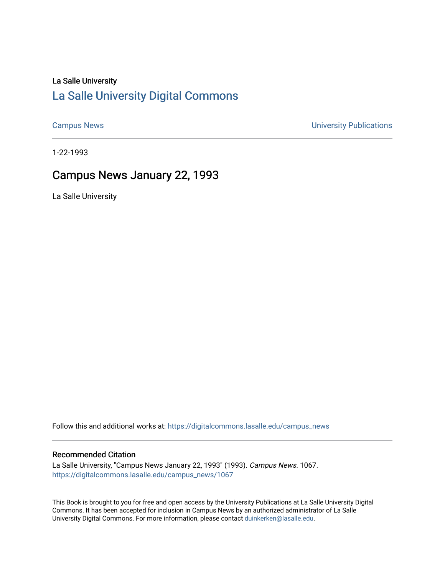### La Salle University

## [La Salle University Digital Commons](https://digitalcommons.lasalle.edu/)

[Campus News](https://digitalcommons.lasalle.edu/campus_news) [University Publications](https://digitalcommons.lasalle.edu/universitypublications) 

1-22-1993

## Campus News January 22, 1993

La Salle University

Follow this and additional works at: [https://digitalcommons.lasalle.edu/campus\\_news](https://digitalcommons.lasalle.edu/campus_news?utm_source=digitalcommons.lasalle.edu%2Fcampus_news%2F1067&utm_medium=PDF&utm_campaign=PDFCoverPages) 

#### Recommended Citation

La Salle University, "Campus News January 22, 1993" (1993). Campus News. 1067. [https://digitalcommons.lasalle.edu/campus\\_news/1067](https://digitalcommons.lasalle.edu/campus_news/1067?utm_source=digitalcommons.lasalle.edu%2Fcampus_news%2F1067&utm_medium=PDF&utm_campaign=PDFCoverPages) 

This Book is brought to you for free and open access by the University Publications at La Salle University Digital Commons. It has been accepted for inclusion in Campus News by an authorized administrator of La Salle University Digital Commons. For more information, please contact [duinkerken@lasalle.edu](mailto:duinkerken@lasalle.edu).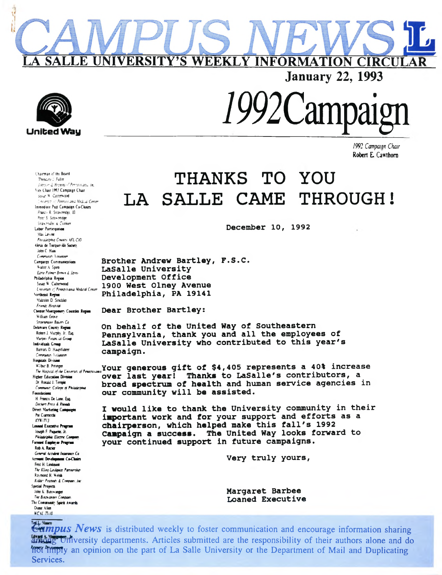

Chairman of the Board Theodore J. Fuller *Johnson & Higgins of Pennsylvania, Inc.* Vice Chair 1993 Campaign Chair Susan W Cainerwood Lawson of Pennsylvania Medical *Center* Immediate Past Campaign Co-Chairs Francis R Strawbridge IIIl Peter S. Strawbridge *Strawbridge & Clothier* Labor Participation Max Levine *Philadelphia Council AFL-CIO Alexis* de Tocqueville Society John C Haas Community Volunteer Campaign Communications Walter A Spiro Eari*e Palmer Brown* & Spiro Philadelphia Region Susan W Catherwood University *of Pennsylvania Medical Center* Northeast Region Malcolm D Strickler Friends *Hospital* Chester Montgomery Counties Region William Grove *Stroenmann Baker Co* Delaware County Region Robert J. Murphy, Jr., Esq. *Murphy Financial Group* Individuals Group Barbara D Hauptfuhrer Community Volunteer Hospitals Division Higher Education Division Dr Ronald J. Temple Community *College of Philadelphia* Foundations H. Francis De Lone. Esq. *Decherr Price & Rhoads* Direct Marketing Campaigns Pat Ciarrocchi KYW-TV3 Loaned Executive Program Joseph F. Paquette. Jr. *Philadelphia Electric Company* Focused Employee Program Rob A. Rucier *General Accident Insurance Co* Account Development Co-Chairs Fred H. Lindquist *The Kling-Lindquist Partnership* Raymond H Welsh Kidder *Peabody & Company Inc* Special Projects John K Binswanger *The Binswanger Compa* The Community Spirit Awards Diane Allen *WCAU-TV10*

# **THANKS TO YOU LA SALLE CAME THROUGH!**

**January 22, 1993**

*1992 Campaign C hair* **Robert E Cawthorn**

**December 10, 1992**

**Brother Andrew Bartley, F.S.C. LaSalle University Development Office 1900 West Olney Avenue Philadelphia, PA 19141**

**Dear Brother Bartley:**

**On behalf of the United Way of Southeastern Pennsylvania, thank you and all the employees of LaSalle University who contributed to this year's campaign.**

**LA SALLE UNIVERSITY'S WEEKLY INFORMATION CIRCULAR**

Wilbur B. Prim<del>per</del><br>The Hospital of the University of Penasylvania Your generous gift of \$4,405 represents a 40% increase **over last year! Thanks to LaSalle's contributors, a broad spectrum of health and human service agencies in our community will be assisted.**

> **I would like to thank the University community in their important work and for your support and efforts as a chairperson, which helped make this fall's 1992 Campaign a success. The United Way looks forward to your continued support in future campaigns.**

> > **Very truly yours,**

**Margaret Barbee Loaned Executive**

*Campus News* is distributed weekly to foster communication and encourage information sharing among University departments. Articles submitted are the responsibility of their authors alone and do not imply an opinion on the part of La Salle University or the Department of Mail and Duplicating Services.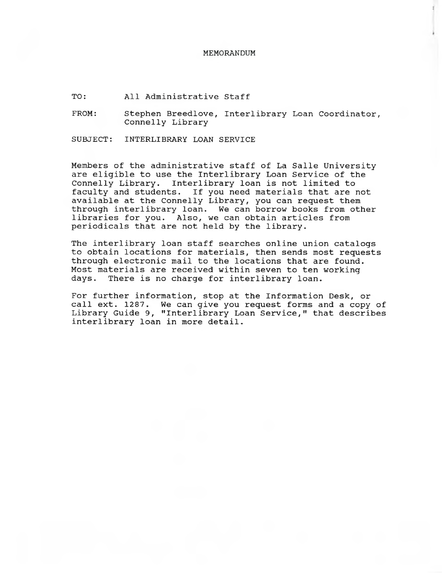#### **MEMORANDUM**

**TO: All Administrative Staff**

**FROM: Stephen Breedlove, Interlibrary Loan Coordinator, Connelly Library**

**SUBJECT: INTERLIBRARY LOAN SERVICE**

**Members of the administrative staff of La Salle University are eligible to use the Interlibrary Loan Service of the Connelly Library. Interlibrary loan is not limited to faculty and students. If you need materials that are not available at the Connelly Library, you can request them through interlibrary loan. We can borrow books from other libraries for you. Also, we can obtain articles from periodicals that are not held by the library.**

**The interlibrary loan staff searches online union catalogs to obtain locations for materials, then sends most requests through electronic mail to the locations that are found. Most materials are received within seven to ten working days. There is no charge for interlibrary loan.**

**For further information, stop at the Information Desk, or call ext. 1287. We can give you request forms and a copy of Library Guide 9, "Interlibrary Loan Service," that describes interlibrary loan in more detail.**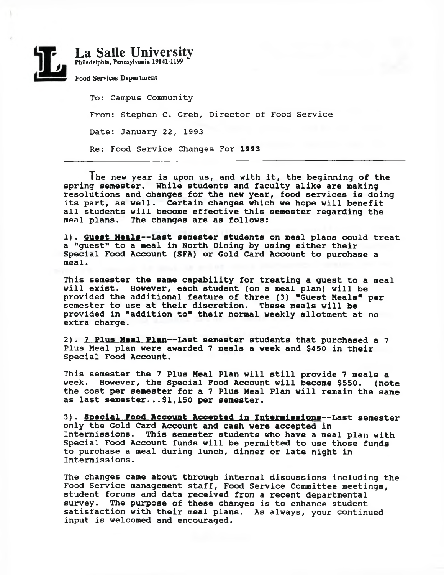

**To: Campus Community From: Stephen C. Greb, Director of Food Service Date: January 22, 1993 Re: Food Service Changes For 1993**

**The new year is upon us, and with it, the beginning of the spring semester. While students and faculty alike are making resolutions and changes for the new year, food services is doing its part, as well. Certain changes which we hope will benefit all students will become effective this semester regarding the meal plans. The changes are as follows:**

**1). Guest Meals— Last semester students on meal plans could treat a "guest" to a meal in North Dining by using either their Special Food Account (SFA) or Gold Card Account to purchase a meal.**

**This semester the same capability for treating a guest to a meal will exist. However, each student (on a meal plan) will be provided the additional feature of three (3) "Guest Meals" per semester to use at their discretion. These meals will be provided in "addition to" their normal weekly allotment at no extra charge.**

**2). 7 Plus Meal Plan— Last semester students that purchased a 7 Plus Meal plan were awarded 7 meals a week and \$450 in their Special Food Account.**

**This semester the 7 Plus Meal Plan will still provide 7 meals a week. However, the Special Food Account will become \$550. (note the cost per semester for a 7 Plus Meal Plan will remain the same as last semester...\$1,150 per semester.**

**3). Special Food Account Accepted In Intermissions— Last semester only the Gold Card Account and cash were accepted in Intermissions. This semester students who have a meal plan with Special Food Account funds will be permitted to use those funds to purchase a meal during lunch, dinner or late night in Intermissions.**

**The changes came about through internal discussions including the Food Service management staff, Food Service Committee meetings, student forums and data received from a recent departmental survey. The purpose of these changes is to enhance student satisfaction with their meal plans. As always, your continued input is welcomed and encouraged.**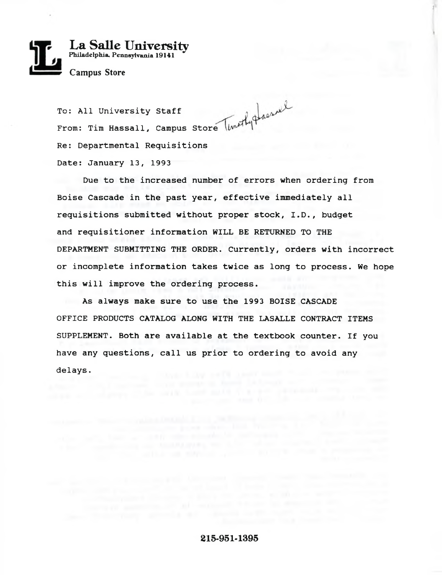

**To: All University Staff From: Tim Hassall, Campus Store Re: Departmental Requisitions Date: January 13, 1993**

**Due to the increased number of errors when ordering from Boise Cascade in the past year, effective immediately all requisitions submitted without proper stock, I.D., budget and requisitioner information WILL BE RETURNED TO THE DEPARTMENT SUBMITTING THE ORDER. Currently, orders with incorrect or incomplete information takes twice as long to process. We hope this will improve the ordering process.**

**As always make sure to use the 1993 BOISE CASCADE OFFICE PRODUCTS CATALOG ALONG WITH THE LASALLE CONTRACT ITEMS SUPPLEMENT. Both are available at the textbook counter. If you have any questions, call us prior to ordering to avoid any delays.**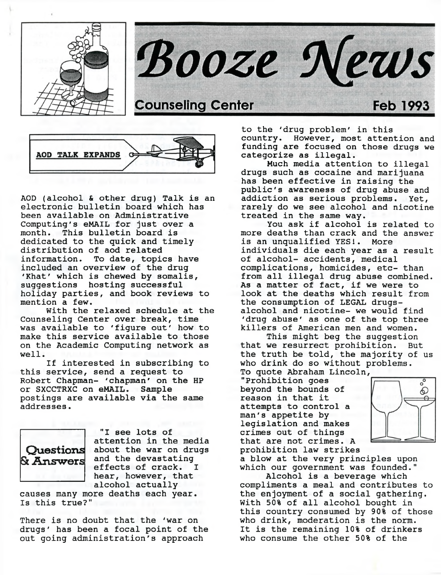





**AOD (alcohol & other drug) Talk is an electronic bulletin board which has been available on Administrative Computing's eMAIL for just over a month. This bulletin board is dedicated to the quick and timely distribution of aod related information. To date, topics have included an overview of the drug 'Khat' which is chewed by somalis, suggestions hosting successful holiday parties, and book reviews to mention a few.**

**With the relaxed schedule at the Counseling Center over break, time was available to 'figure out' how to make this service available to those on the Academic Computing network as well.**

**If interested in subscribing to this service, send a request to Robert Chapman- 'chapman' on the HP or SXCCTRXC on eMAIL. Sample postings are available via the same addresses.**



**"I see lots of attention in the media about the war on drugs Questions and the devastating & Answers** and the devastating<br>effects of crack. I **hear, however, that alcohol actually**

**causes many more deaths each year. Is this true?"**

**There is no doubt that the 'war on drugs' has been a focal point of the out going administration's approach**

**to the 'drug problem' in this country. However, most attention and funding are focused on those drugs we categorize as illegal.**

**Much media attention to illegal drugs such as cocaine and marijuana has been effective in raising the public's awareness of drug abuse and addiction as serious problems. Yet, rarely do we see alcohol and nicotine treated in the same way.**

**You ask if alcohol is related to more deaths than crack and the answer is an unqualified YES!. More individuals die each year as a result of alcohol- accidents, medical complications, homicides, etc- than from all illegal drug abuse combined. As a matter of fact, if we were to look at the deaths which result from the consumption of LEGAL drugsalcohol and nicotine- we would find 'drug abuse' as one of the top three killers of American men and women.**

**This might beg the suggestion that we resurrect prohibition. But the truth be told, the majority of us who drink do so without problems.**

**To quote Abraham Lincoln, "Prohibition goes beyond the bounds of reason in that it attempts to control a man's appetite by legislation and makes crimes out of things that are not crimes. A prohibition law strikes**



**a blow at the very principles upon which our government was founded."**

**Alcohol is a beverage which compliments a meal and contributes to the enjoyment of a social gathering. With 50% of all alcohol bought in this country consumed by 90% of those who drink, moderation is the norm. It is the remaining 10% of drinkers who consume the other 50% of the**